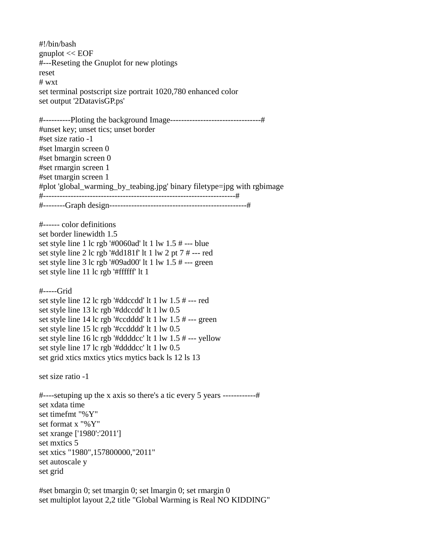#!/bin/bash gnuplot << EOF #---Reseting the Gnuplot for new plotings reset # wxt set terminal postscript size portrait 1020,780 enhanced color set output '2DatavisGP.ps' #----------Ploting the background Image---------------------------------# #unset key; unset tics; unset border #set size ratio -1 #set lmargin screen 0 #set bmargin screen 0 #set rmargin screen 1 #set tmargin screen 1 #plot 'global\_warming\_by\_teabing.jpg' binary filetype=jpg with rgbimage #----------------------------------------------------------------------# #--------Graph design--------------------------------------------------# #------ color definitions set border linewidth 1.5 set style line 1 lc rgb '#0060ad' lt 1 lw 1.5 # --- blue set style line 2 lc rgb '#dd181f' lt 1 lw 2 pt 7 # --- red set style line 3 lc rgb '#09ad00' lt 1 lw 1.5 # --- green set style line 11 lc rgb '#ffffff' lt 1 #-----Grid set style line 12 lc rgb '#ddccdd' lt 1 lw 1.5 # --- red set style line 13 lc rgb '#ddccdd' lt 1 lw 0.5 set style line 14 lc rgb '#ccdddd' lt 1 lw 1.5 # --- green set style line 15 lc rgb '#ccdddd' lt 1 lw 0.5 set style line 16 lc rgb '#ddddcc' lt 1 lw 1.5 # --- yellow set style line 17 lc rgb '#ddddcc' lt 1 lw 0.5 set grid xtics mxtics ytics mytics back ls 12 ls 13 set size ratio -1  $\#$ ----setuping up the x axis so there's a tic every 5 years -------------# set xdata time set timefmt "%Y" set format x "%Y" set xrange ['1980':'2011'] set mxtics 5 set xtics "1980",157800000,"2011" set autoscale y set grid

#set bmargin 0; set tmargin 0; set lmargin 0; set rmargin 0 set multiplot layout 2,2 title "Global Warming is Real NO KIDDING"